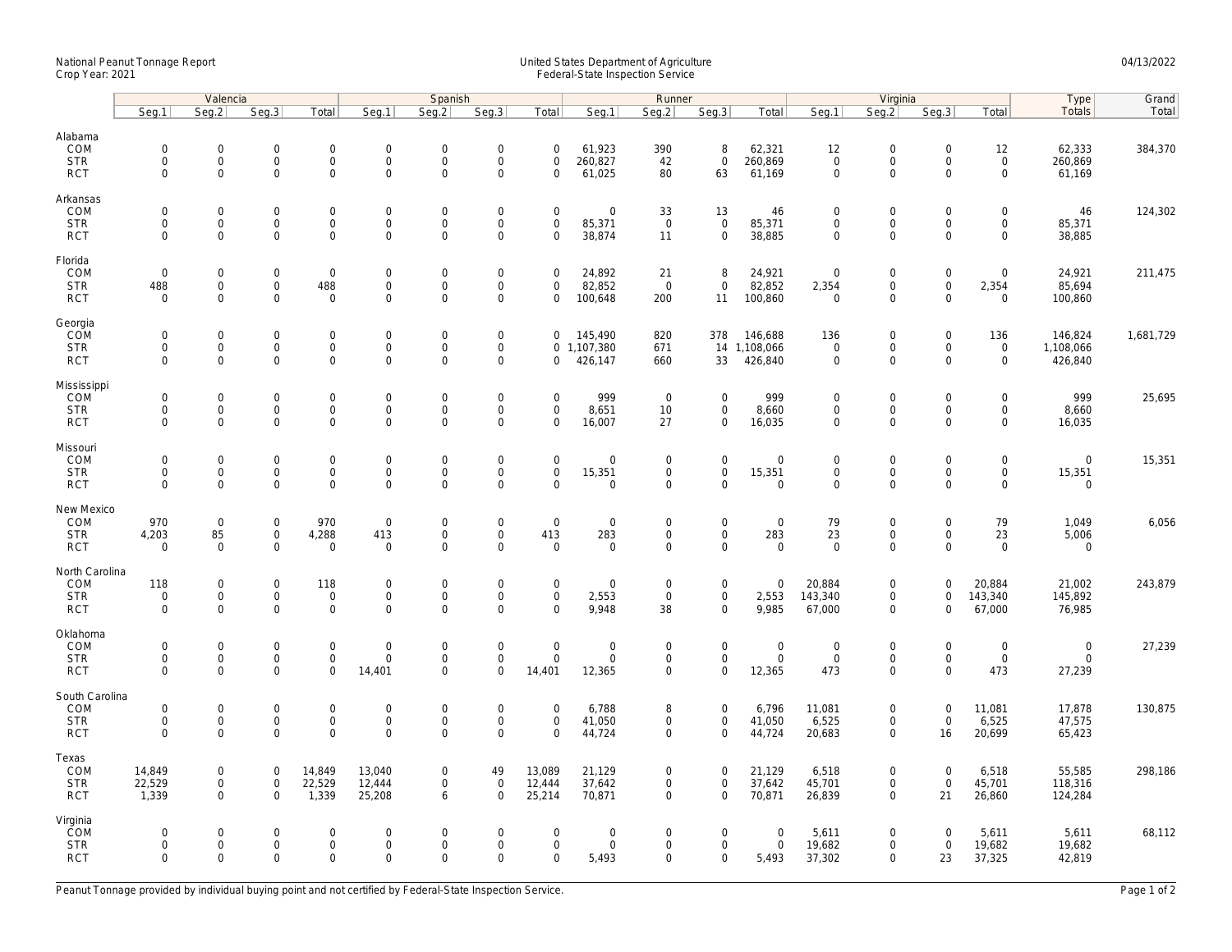## National Peanut Tonnage Report United States Department of Agriculture 04/13/2022 Crop Year: 2021 Federal-State Inspection Service

|                                                    | Valencia                                                  |                                  |                                                                |                                                   | Spanish                                         |                                                   |                                                                   |                                                           |                                      | Runner                                                    |                                                   |                                           | Virginia                                  |                                                     |                                                        |                                                  | Type                                      | Grand     |
|----------------------------------------------------|-----------------------------------------------------------|----------------------------------|----------------------------------------------------------------|---------------------------------------------------|-------------------------------------------------|---------------------------------------------------|-------------------------------------------------------------------|-----------------------------------------------------------|--------------------------------------|-----------------------------------------------------------|---------------------------------------------------|-------------------------------------------|-------------------------------------------|-----------------------------------------------------|--------------------------------------------------------|--------------------------------------------------|-------------------------------------------|-----------|
|                                                    | Seg.1                                                     | Seq.2                            | Seg.3                                                          | Total                                             | Seg.1                                           | Seq.2                                             | Seg.3                                                             | Total                                                     | Seg.1                                | Seg.2                                                     | Seq.3                                             | Total                                     | Seq.1                                     | Seq.2                                               | Seg.3                                                  | Total                                            | <b>Totals</b>                             | Total     |
| Alabama<br>COM<br><b>STR</b><br><b>RCT</b>         | $\mathsf{O}\xspace$<br>$\mathbf 0$<br>$\mathbf 0$         | 0<br>$\mathsf{O}\xspace$<br>0    | $\boldsymbol{0}$<br>$\mathsf{O}\xspace$<br>$\mathsf{O}\xspace$ | $\mathbf 0$<br>$\mathsf{O}\xspace$<br>$\mathbf 0$ | $\mathbf 0$<br>$\mathbf 0$<br>$\mathbf 0$       | $\mathbf 0$<br>$\mathbf 0$<br>$\mathbf 0$         | $\mathsf{O}\xspace$<br>$\mathsf{O}\xspace$<br>$\mathsf{O}\xspace$ | $\mathsf{O}\xspace$<br>$\mathbf 0$<br>$\mathsf{O}\xspace$ | 61,923<br>260,827<br>61,025          | 390<br>42<br>80                                           | 8<br>$\mathbf 0$<br>63                            | 62,321<br>260,869<br>61,169               | 12<br>$\mathbf 0$<br>$\mathbf 0$          | $\mathbf 0$<br>$\mathsf{O}\xspace$<br>$\mathbf 0$   | $\mathsf{O}\xspace$<br>$\mathbf 0$<br>$\mathbf 0$      | 12<br>$\mathsf{O}\xspace$<br>$\mathsf{O}\xspace$ | 62,333<br>260,869<br>61,169               | 384,370   |
| Arkansas<br>COM<br><b>STR</b><br><b>RCT</b>        | $\mathsf{O}\xspace$<br>$\mathbf 0$<br>$\mathbf{0}$        | 0<br>$\overline{0}$<br>0         | $\mathbf 0$<br>$\mathsf{O}$<br>$\mathbf 0$                     | $\mathsf 0$<br>$\mathbf 0$<br>$\mathbf 0$         | $\mathbf 0$<br>$\mathbf 0$<br>$\mathbf 0$       | $\mathbf 0$<br>$\mathbf 0$<br>$\Omega$            | $\mathsf{O}\xspace$<br>$\mathsf{O}\xspace$<br>$\mathbf 0$         | $\mathbf 0$<br>$\mathbf 0$<br>$\mathbf 0$                 | 0<br>85,371<br>38,874                | 33<br>$\mathsf 0$<br>11                                   | 13<br>$\mathbf 0$<br>$\mathbf 0$                  | 46<br>85,371<br>38,885                    | $\mathbf 0$<br>$\mathbf 0$<br>$\Omega$    | $\mathbf 0$<br>$\mathsf{O}\xspace$<br>$\mathbf 0$   | $\mathbf 0$<br>$\mathbf 0$<br>$\Omega$                 | 0<br>$\mathbf 0$<br>$\mathbf 0$                  | 46<br>85,371<br>38,885                    | 124,302   |
| Florida<br>COM<br><b>STR</b><br><b>RCT</b>         | $\mathsf{O}\xspace$<br>488<br>$\mathbf 0$                 | 0<br>0<br>0                      | $\mathsf 0$<br>$\mathsf{O}$<br>$\mathbf 0$                     | $\mathsf 0$<br>488<br>$\mathbf 0$                 | $\mathbf 0$<br>$\mathbf 0$<br>$\mathbf 0$       | $\mathbf 0$<br>$\mathsf{O}\xspace$<br>$\Omega$    | $\mathsf{O}\xspace$<br>$\mathsf{O}\xspace$<br>$\mathbf 0$         | $\mathsf{O}\xspace$<br>$\mathbf 0$<br>$\mathbf 0$         | 24,892<br>82,852<br>100,648          | 21<br>$\overline{0}$<br>200                               | 8<br>$\mathbf 0$<br>11                            | 24,921<br>82,852<br>100,860               | $\mathbf 0$<br>2,354<br>$\Omega$          | $\boldsymbol{0}$<br>$\mathsf{O}\xspace$<br>$\Omega$ | $\mathsf{O}\xspace$<br>$\mathbf 0$<br>$\Omega$         | 0<br>2,354<br>$\mathbf 0$                        | 24,921<br>85,694<br>100,860               | 211,475   |
| Georgia<br>COM<br><b>STR</b><br><b>RCT</b>         | $\mathbf{0}$<br>$\mathbf 0$<br>$\mathbf 0$                | $\mathbf{0}$<br>0<br>0           | $\mathbf 0$<br>$\mathsf{O}\xspace$<br>$\mathbf 0$              | $\mathbf 0$<br>$\mathbf 0$<br>$\mathbf{0}$        | $\mathbf 0$<br>$\boldsymbol{0}$<br>$\mathbf{0}$ | $\mathbf 0$<br>$\mathbf 0$<br>$\mathbf 0$         | $\mathsf{O}\xspace$<br>$\mathsf{O}\xspace$<br>$\mathbf 0$         | $\mathbf 0$<br>$\mathbf 0$                                | 145,490<br>0, 1, 107, 380<br>426,147 | 820<br>671<br>660                                         | 378<br>33                                         | 146,688<br>14 1,108,066<br>426,840        | 136<br>$\mathbf 0$<br>$\mathbf 0$         | $\mathbf 0$<br>$\mathsf{O}\xspace$<br>$\Omega$      | $\mathbf 0$<br>$\mathbf 0$<br>$\mathbf 0$              | 136<br>0<br>$\mathbf 0$                          | 146,824<br>1,108,066<br>426,840           | 1,681,729 |
| Mississippi<br>COM<br><b>STR</b><br><b>RCT</b>     | $\mathsf{O}\xspace$<br>$\mathbf{0}$<br>$\mathbf 0$        | 0<br>0<br>0                      | $\mathbf 0$<br>$\mathsf{O}\xspace$<br>$\mathsf 0$              | $\mathbf 0$<br>$\mathsf 0$<br>$\mathsf 0$         | $\mathbf 0$<br>$\mathbf 0$<br>$\mathbf 0$       | $\mathbf 0$<br>$\mathbf 0$<br>$\mathbf 0$         | $\mathsf{O}\xspace$<br>$\mathsf{O}\xspace$<br>$\mathbf 0$         | $\mathbf 0$<br>$\mathbf 0$<br>$\mathbf 0$                 | 999<br>8,651<br>16,007               | $\mathbf 0$<br>$10$<br>27                                 | $\mathbf 0$<br>$\mathsf{O}\xspace$<br>$\mathbf 0$ | 999<br>8,660<br>16,035                    | $\mathbf 0$<br>$\mathbf 0$<br>$\mathbf 0$ | $\boldsymbol{0}$<br>$\mathsf{O}\xspace$<br>$\Omega$ | $\mathbf 0$<br>$\mathbf 0$<br>$\mathbf 0$              | $\mathbf 0$<br>0<br>$\mathbf 0$                  | 999<br>8,660<br>16,035                    | 25,695    |
| Missouri<br>COM<br><b>STR</b><br><b>RCT</b>        | $\mathsf{O}\xspace$<br>$\mathbf 0$<br>$\Omega$            | 0<br>0<br>0                      | $\mathsf 0$<br>$\mathsf{O}$<br>$\mathbf 0$                     | $\mathbf 0$<br>$\mathsf 0$<br>$\mathsf 0$         | $\mathbf 0$<br>$\mathbf 0$<br>$\mathbf 0$       | $\mathbf 0$<br>$\mathbf 0$<br>$\Omega$            | $\mathsf{O}\xspace$<br>$\mathsf{O}\xspace$<br>$\mathbf 0$         | $\mathsf{O}\xspace$<br>$\mathsf{O}\xspace$<br>$\Omega$    | 0<br>15,351<br>0                     | $\mathbf 0$<br>$\mathbf 0$<br>$\mathsf{O}\xspace$         | $\mathsf 0$<br>$\mathbf 0$<br>$\mathsf 0$         | $\mathbf 0$<br>15,351<br>$\mathbf 0$      | $\mathbf 0$<br>$\mathbf 0$<br>$\Omega$    | $\mathbf 0$<br>$\mathsf{O}\xspace$<br>$\Omega$      | $\mathbf 0$<br>$\mathbf 0$<br>$\Omega$                 | 0<br>$\mathsf{O}\xspace$<br>0                    | $\mathbf 0$<br>15,351<br>$\mathbf 0$      | 15,351    |
| New Mexico<br>COM<br><b>STR</b><br><b>RCT</b>      | 970<br>4,203<br>$\mathbf 0$                               | $\mathbf 0$<br>85<br>$\mathbf 0$ | $\mathsf 0$<br>$\mathsf{O}\xspace$<br>$\mathsf{O}\xspace$      | 970<br>4,288<br>$\mathbf 0$                       | $\mathbf 0$<br>413<br>$\mathbf 0$               | $\mathsf{O}\xspace$<br>$\mathbf 0$<br>$\mathbf 0$ | $\mathsf{O}\xspace$<br>$\mathsf{O}\xspace$<br>$\overline{0}$      | $\mathsf{O}\xspace$<br>413<br>$\mathbf 0$                 | 0<br>283<br>0                        | $\mathsf 0$<br>$\mathsf 0$<br>$\mathbf 0$                 | $\mathsf 0$<br>$\mathbf 0$<br>$\mathbf{0}$        | $\mathbf 0$<br>283<br>$\mathbf{0}$        | 79<br>23<br>$\Omega$                      | $\mathbf 0$<br>$\mathsf{O}\xspace$<br>$\Omega$      | $\mathsf{O}\xspace$<br>$\mathsf{O}\xspace$<br>$\Omega$ | 79<br>23<br>$\mathbf 0$                          | 1,049<br>5,006<br>0                       | 6,056     |
| North Carolina<br>COM<br><b>STR</b><br><b>RCT</b>  | 118<br>$\mathsf{O}\xspace$<br>$\mathbf 0$                 | 0<br>0<br>$\overline{0}$         | $\boldsymbol{0}$<br>$\mathsf{O}\xspace$<br>$\mathbf 0$         | 118<br>$\mathsf 0$<br>$\mathsf{O}$                | $\mathbf 0$<br>$\mathbf 0$<br>$\mathbf{0}$      | $\mathbf 0$<br>$\mathbf 0$<br>$\mathbf 0$         | $\mathbf 0$<br>$\mathsf{O}\xspace$<br>$\mathbf 0$                 | $\mathbf 0$<br>$\mathsf{O}\xspace$<br>$\Omega$            | 0<br>2,553<br>9,948                  | $\mathbf 0$<br>$\mathsf 0$<br>38                          | $\mathbf 0$<br>$\mathbf 0$<br>$\mathbf{0}$        | $\mathbf 0$<br>2,553<br>9,985             | 20,884<br>143,340<br>67,000               | $\mathbf 0$<br>$\mathsf{O}\xspace$<br>$\mathbf 0$   | $\mathbf 0$<br>$\mathbf 0$<br>$\mathbf 0$              | 20,884<br>143,340<br>67,000                      | 21,002<br>145,892<br>76,985               | 243,879   |
| Oklahoma<br>COM<br><b>STR</b><br><b>RCT</b>        | $\mathsf{O}\xspace$<br>$\mathsf{O}\xspace$<br>$\mathbf 0$ | 0<br>0<br>0                      | $\boldsymbol{0}$<br>$\mathsf{O}\xspace$<br>$\mathbf 0$         | $\mathbf 0$<br>$\mathbf 0$<br>$\mathbf 0$         | $\mathbf 0$<br>$\mathbf 0$<br>14,401            | $\mathbf 0$<br>$\mathsf{O}\xspace$<br>$\mathbf 0$ | $\mathsf{O}\xspace$<br>$\mathbf 0$<br>$\mathbf 0$                 | $\mathsf{O}\xspace$<br>$\mathsf{O}\xspace$<br>14,401      | 0<br>0<br>12,365                     | $\mathbf 0$<br>$\mathsf 0$<br>$\mathbf 0$                 | $\mathsf{O}$<br>$\mathbf 0$<br>$\mathbf 0$        | $\boldsymbol{0}$<br>$\mathbf 0$<br>12,365 | $\mathbf 0$<br>$\mathsf 0$<br>473         | $\mathbf 0$<br>$\mathsf{O}\xspace$<br>$\mathbf 0$   | $\mathbf 0$<br>$\mathsf{O}\xspace$<br>$\mathbf 0$      | 0<br>$\mathbf 0$<br>473                          | $\boldsymbol{0}$<br>$\mathsf 0$<br>27,239 | 27,239    |
| South Carolina<br>COM<br><b>STR</b><br><b>RCT</b>  | $\mathsf{O}\xspace$<br>$\mathbf 0$<br>$\mathbf{0}$        | 0<br>0<br>$\mathbf{0}$           | $\boldsymbol{0}$<br>$\mathsf{O}$<br>$\mathbf 0$                | $\mathsf{O}$<br>$\mathbf 0$<br>$\mathbf 0$        | $\boldsymbol{0}$<br>$\mathbf 0$<br>$\mathbf 0$  | $\mathsf{O}\xspace$<br>$\mathbf 0$<br>$\mathbf 0$ | $\mathbf 0$<br>$\mathsf{O}\xspace$<br>$\Omega$                    | $\mathbf 0$<br>$\mathbf 0$<br>$\mathbf 0$                 | 6,788<br>41,050<br>44,724            | 8<br>$\mathsf 0$<br>$\mathbf 0$                           | $\mathsf 0$<br>$\mathbf 0$<br>$\mathbf{0}$        | 6,796<br>41,050<br>44,724                 | 11,081<br>6,525<br>20,683                 | $\mathbf 0$<br>$\mathbf 0$<br>$\Omega$              | $\mathsf 0$<br>$\mathsf 0$<br>16                       | 11,081<br>6,525<br>20,699                        | 17,878<br>47,575<br>65,423                | 130,875   |
| Texas<br>COM<br><b>STR</b><br><b>RCT</b>           | 14,849<br>22,529<br>1,339                                 | 0<br>0<br>$\Omega$               | $\mathsf 0$<br>$\mathsf{O}$<br>$\mathbf 0$                     | 14,849<br>22,529<br>1,339                         | 13,040<br>12,444<br>25,208                      | $\mathbf 0$<br>$\mathsf{O}\xspace$<br>6           | 49<br>$\mathsf{O}\xspace$<br>$\Omega$                             | 13,089<br>12,444<br>25,214                                | 21,129<br>37,642<br>70,871           | $\mathsf{O}\xspace$<br>$\mathsf{O}\xspace$<br>$\mathbf 0$ | $\mathsf 0$<br>$\mathbf 0$<br>$\mathbf{0}$        | 21,129<br>37,642<br>70,871                | 6,518<br>45,701<br>26,839                 | $\mathsf 0$<br>$\mathsf 0$<br>$\Omega$              | $\mathsf{O}\xspace$<br>$\mathbf 0$<br>21               | 6,518<br>45,701<br>26,860                        | 55,585<br>118,316<br>124,284              | 298,186   |
| Virginia<br><b>ČOM</b><br><b>STR</b><br><b>RCT</b> | $\mathbf 0$<br>$\mathbf 0$<br>$\Omega$                    | 0<br>0<br>$\mathbf{0}$           | $\mathbf 0$<br>$\mathsf{O}$<br>$\mathbf 0$                     | $\mathbf 0$<br>$\mathsf{O}\xspace$<br>$\mathbf 0$ | $\mathbf 0$<br>$\boldsymbol{0}$<br>$\mathbf{0}$ | $\Omega$<br>$\mathbf 0$<br>$\Omega$               | $\mathbf 0$<br>$\mathsf{O}\xspace$<br>$\Omega$                    | $\mathbf 0$<br>$\mathsf{O}\xspace$<br>$\Omega$            | 0<br>0<br>5,493                      | $\mathbf 0$<br>$\mathbf 0$<br>$\mathbf 0$                 | $\mathbf 0$<br>$\mathsf{O}\xspace$<br>$\mathbf 0$ | $\mathbf 0$<br>$\boldsymbol{0}$<br>5,493  | 5,611<br>19,682<br>37,302                 | $\mathbf 0$<br>$\mathsf 0$<br>$\Omega$              | $\Omega$<br>$\mathsf{O}\xspace$<br>23                  | 5,611<br>19,682<br>37,325                        | 5,611<br>19,682<br>42,819                 | 68,112    |

Peanut Tonnage provided by individual buying point and not certified by Federal-State Inspection Service. Page 1 of 2